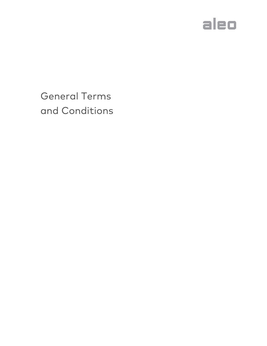

General Terms and Conditions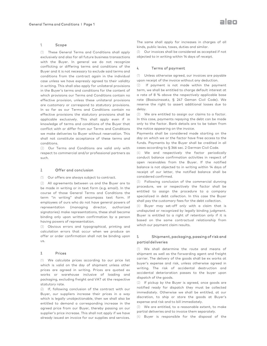## 1. Scope

(1) These General Terms and Conditions shall apply exclusively and also for all future business transactions with the Buyer. In general we do not recognize conflicting or differing terms and conditions of the Buyer and it is not necessary to exclude said terms and conditions from the contract again in the individual case unless we have expressly agreed to their validity in writing. This shall also apply for unilateral provisions in the Buyer's terms and conditions for the content of which provisions our Terms and Conditions contain no effective provision, unless these unilateral provisions effective provision, unless these unilateral provisions<br>are customary or correspond to statutory provisions. In so far as our Terms and Conditions contain no effective provisions the statutory provisions shall be applicable exclusively. This shall apply even if in knowledge of terms and conditions of the Buyer that conflict with or differ from our Terms and Conditions we make deliveries to Buyer without reservation. This shall not constitute acceptance of these terms and conditions. in the contract again in the individual<br>have expressly agreed to their validity<br>shall also apply for unilateral provisions<br>erms and conditions for the content of lict with or differ from our Terms and Conditions<br>nake deliveries to Buyer without reservation. This<br>not constitute acceptance of these terms and<br>litions.<br>Our Terms and Conditions are valid only with<br>ect to commercial and/ If the rest consider the same shall apply for increases in comparison of the same shall apply for increases in comparison of the same shall become the same shall become the same shall become the same shall apply for incre

(2) Our Terms and Conditions are valid only with respect to commercial and/or professional partners as such.

## 2. Offer and conclusion

(1) Our offers are always subject to contract.

(2) All agreements between us and the Buyer are to be made in writing or in text form (e.g. (e.g. email). In the course of those General Terms and Conditions the term "in writing" shall encompass text form. If employees of ours who do not have general powers of representation (managing director, signatories) make representations, these shall become binding only upon written confirmation by a person having powers of representation. term "in writing" shall encompass text form. If<br>employees of ours who do not have general powers of<br>representation (managing director, authorized signatories) make representations, these shall become<br>binding only upon written confirmation by a person<br>having powers of representation.<br>(3) Obvious errors and typographical, printing and<br>calculation errors that occur whe

(3) Obvious errors and typographical, printing and calculation errors that occur when we produce an offer or order confirmation shall not be binding upon us.

#### 3. Prices

(1) We calculate prices according to our price list which is valid on the day of shipment unless other prices are agreed in writing. Prices are quoted ex works or warehouse inclusive of loading and packaging, excluding freight and VAT at the respective statutory rate. We calculate prices according to our price list<br>h is valid on the day of shipment unless other<br>s are agreed in writing. Prices are quoted ex<br>s or warehouse inclusive of loading and<br>aging, excluding freight and VAT at the r

(2) If, following conclusion of the contract with our Buyer, our suppliers increase their prices in a way which is legally unobjectionable, then we shall also be entitled to demand a corresponding increase in the agreed price from our Buyer, thereby passing on our supplier's price increase. This shall not apply if we have already issued an invoice for our supplies and services.

kinds, public levies, taxes, duties and similar.

(3) Our invoices shall be considered as accepted if not The same shall apply for increases in charge<br>kinds, public levies, taxes, duties and similar.<br>(3) Our invoices shall be considered as accepte<br>objected to in writing within 14 days of receipt.

# 4. Terms of payment

(1) Unless otherwise agreed, our invoices are payable<br>upon receipt of the invoice without any deduction. upon receipt of the invoice without any deduction

(2) If payment is not made within the payment term, we shall be entitled to charge default interest at a rate of 8 % above the respectively applicable base rate (Basiszinssatz, § 247 Geman Civil Code). We reserve the right to assert additional losses due to delay.

(3) We are entitled to assign our claims to a factor. In this case, payments repaying the debt can be made only to the factor. Bank details are to be taken from the notice appearing on the invoice.

Payments shall be considered made starting on the day on which we or the factor have free access to the funds. Payments by the Buyer shall be credited in all cases according to § 366 sec. 2 German Civil Code.

(4) We and respectively the factor periodically conduct balance confirmation activities in respect of open receivables from the Buyer. If the notified balance is not objected to in writing within 14 days of receipt of our letter, the notified balance shall be considered confirmed. (2) If payment is not made within the paymeterm, we shall be entitled to charge default interests a rate of 8 % above the respectively applicable be received to start and this coses, gives case, gives case, gives case, and

(5) Following conclusion of the commercial dunning procedure, we or respectively the factor shall be entitled to assign the procedure to a company specialized in debt collection. In this case the Buyer shall pay the customary fees for the debt collection.

(6) Buyer may set-off only with a claim that is undisputed or recognized by legally binding judgment. Buyer is entitled to a right of retention only if it is based on the same contractual relationship from which our payment claim results.

# 5. Shipment, packaging, passing passing of risk and partial deliveries

(1) We shall determine the route and means of shipment as well as the forwarding agent and freight carrier. The delivery of the goods shall be ex works at buyer's expense and risk, unless otherwise agreed in writing. The risk of accidental destruction and accidental deterioration passes to the buyer upon dispatch of the goods. shall determine the route and mead<br>t as well as the forwarding agent and f<br>The delivery of the goods shall be ex wo<br>expense and risk, unless otherwise agre<br>The risk of accidental destruction<br>cal deterioration passes to the

(2) If pickup by the Buyer is agreed, once goods are notified ready for dispatch they must be collected immediately. Otherwise we shall be entitled, at our discretion, to ship or store the goods at Buyer's expense and risk and to bill immediately.

(3) We are entitled, to a reasonable extent, to make partial deliveries and to invoice them separately.

(4) Buyer is responsible for the disposal of the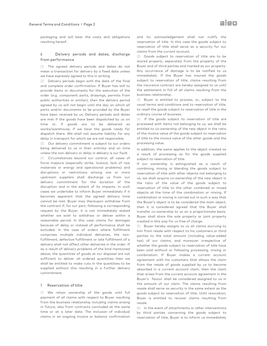packaging and will bear the costs and obligations resulting hereof.

## 6. Delivery periods and dates, discharge from performance

(1) The agreed delivery periods and dates do not mean a transaction for delivery by a fixed date unless we have expressly agreed to this in writing.

(2) Delivery periods begin with the date of the final and complete order confirmation. If Buyer has still to provide items or documents for the execution of the order (e.g. component parts, drawings, permits from public authorities or similar), then the delivery period agreed by us will not begin until the day on which all parts and/or documents to be provided by the Buyer have been received by us. Delivery periods and dates are met if the goods have been dispatched by us on time or, if goods are to be delivered ex works/warehouse, if we have the goods ready for dispatch there. We shall not assume liability for any delay in transport for which we are not responsible ) The agreed delivery periods and dates do not<br>nean a transaction for delivery by a fixed date unless<br>ve have expressly agreed to this in writing.<br>(1) Delivery periods begin with the date of the final<br>nd complete order con are to be delivered<br>have the goods ready<br>not assume liability for c<br>ich we are not responsible.

(3) Our delivery commitment is subject to our orders being delivered to us in their entirety and on time unless the non-delivery or delay in delivery is our fault. ry commitment is subject to our orders<br>I to us in their entirety and on time<br>delivery or delay in delivery is our fault.<br>nces beyond our control, all cases of<br>(especially strike, lockout, lack of raw

(4) Circumstances beyond our control, all cases of force majeure (especially strike, lockout, lack of raw materials or energy and operational problems) and disruptions or restrictions among one or more upstream suppliers shall discharge us from our delivery commitment for the duration of the disruption and in the extent of its impacts. In such cases we undertake to inform Buyer immediately if it becomes apparent that the agreed delivery time cannot be met. Buyer may thereupon withdraw from the contract if, for our part, following a corresponding request by the Buyer, it is not immediately stated whether we wish to withdraw or deliver within a reasonable period. In this case claims for damages because of delay or instead of performance shall be excluded. In the case of orders where fulfillment comprises multiple individual deliveries, the nonfulfillment, defective fulfillment or late fulfillment of a delivery shall not affect other deliveries in the order. If as a result of delivery problems of the kind mentioned above, the quantities of goods at our disposal are not sufficient to deliver all ordered quantities then we shall be entitled to make cuts in the quantities to be supplied without this resulting in a further delivery commitment. r energy and operational problems) and<br>or restrictions among one or more<br>suppliers shall discharge us from our<br>pmmitment for the duration of the cannot be met. Buyer may thereupon withdraw from<br>the contract if, for our part, following a corresponding<br>request by the Buyer, it is not immediately stated<br>whether we wish to withdraw or deliver within a<br>reasonable period delivery shall not affect other deliveries in the order. If<br>as a result of delivery problems of the kind mentioned<br>above, the quantities of goods at our disposal are not<br>sufficient to deliver all ordered quantities then we

### 7. Reservation of title

(1) We retain ownership of the goods until full payment of all claims with respect to Buyer resulting from the business relationship including claims arising in future, also from contracts concluded at the same time or at a later date. The inclusion of individual claims in an ongoing invoice or balance confirmation shall be entitled to make cuts in the quantities to be<br>supplied without this resulting in a further delivery<br>commitment.<br>7. Reservation of title<br>(1) We retain ownership of the goods until full<br>payment of all claims with re and its acknowledgement shall not nullify the reservation of title. In this case the goods subject to reservation of title shall serve as a security for our claims from the current account.

(2) Goods subject to reservation of title are to be stored properly, separately from the property of the Buyer and of third parties and marked as our property. Any occurrence of damage is to be notified to us immediately. If the Buyer has insured the goods subject to reservation of title, claims resulting from the insurance contract are hereby assigned to us until the settlement in full of all claims resulting from the business relationship. and its acknowledgement shall not nullify the<br>reservation of title .In this case the goods subject to<br>reservation of title shall serve as a security for our<br>claims from the current account.<br>(2) Goods subject to reservation

(3) Buyer is entitled to process, or, subject to the usual terms and conditions and to reservation of title, to resell the goods subject to reservation of title in the ordinary course of business.

(4) If the goods subject to reservation of title are processed with items not belonging to us, we shall be entitled to co-ownership of the new object in the ratio of the invoice value of the goods subject to reservation of title to the invoice value of the other goods and the processing value.

In addition, the same applies to the object created as a result of processing as for the goods supplied subject to reservation of title.

If our ownership is extinguished as a result of combining, mixing or blending the goods subject to reservation of title with other objects not belonging to us, we shall acquire co-ownership of the new object in the ratio of the value of the goods subject to reservation of title to the other combined or mixed objects at the time of the combination or mixing. If combination or mixing is carried out in such a way that the Buyer's object is to be considered the main object, then it is considered agreed that the Buyer shall transfer co-ownership to us on a proportionate basis. Buyer shall store the sole property or joint property created in this way for us free of charge. of title to the invoice value of the other goods and the processing value.<br>In addition, the same applies to the object created as<br>a result of processing as for the goods supplied<br>subject to reservation of title.<br>If our own

(5) Buyer hereby assigns to us all claims accruing to him from resale with respect to his customers or third parties to the total amount (including value-added tax) of our claims, and moreover irrespective of whether the goods subject to reservation of title have been sold without or following processing, mixing or combination. If Buyer makes a current account agreement with his customers that allows the claim from the resale of goods supplied by us to become absorbed in a current account claim, then the claim that arises from the current account agreement in the Buyer's favour shall be considered assigned to us in the amount of our claim. The claims resulting from resale shall serve as security in the same extent as the goods subject to reservation of title. Until revocation, Buyer is entitled to recover claims resulting from resale. tax) of our claims, and moreover irrespective of whether the goods subject to reservation of title have been sold without or following processing, mixing or combination. If Buyer makes a current account agreement with his

(6) In the event of attachments or other interventions by third parties concerning the goods subject to by third parties concerning the goods subject to<br>reservation of title, Buyer is to inform us immediately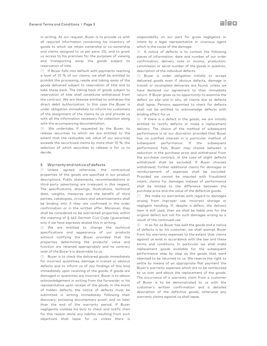in writing. At our request, Buyer is to provide us with all required information concerning his inventory of in writing. At our request, Buyer is to provide us with<br>all required information concerning his inventory of<br>goods to which we retain ownership or co-ownership and claims assigned to us per para. (5), and to grant us access to his premises for the purposes of viewing and transporting away the goods subject to reservation of title.

(7) If Buyer falls into default with payments reaching a level of 10 % of our claims, we shall be entitled to prohibit the processing, resale and taking away of the goods delivered subject to reservation of title and to take these back. The taking back of goods subject reservation of title shall constitute withdrawal from the contract. We are likewise entitled to withdraw the direct debit authorization. In this case the Buyer is under obligation immediately to inform his customers of the assignment of the claims to us and provide us with all the information necessary for collection along with the accompanying documentation. us access to his premises for the purposes of viewing<br>and transporting away the goods subject to<br>reservation of title.<br>(7) If Buyer falls into default with payments reaching<br>a level of 10 % of our claims, we shall be entit the contract. We are likewise entitled to withd<br>direct debit authorization. In this case the E<br>under obligation immediately to inform his cus<br>of the assignment of the claims to us and pr<br>with all the information necessary

(8) We undertake, if requested by the Buyer, to release securities to which we are entitled to the extent that the realizable net value of our securities exceeds the securitized claims by more than 10 %; the selection of which securities to release is for us to decide.

#### 8. Warranty and notice of defects defects

(1) Unless agreed otherwise, the contractual (1) Unless agreed otherwise, the contractual<br>properties of the goods are specified in our product descriptions. Public statements, recommendations or third-party advertising are irrelevant in this respect. The specifications, drawings, illustrations, technical data, weights, measures and the benefit of third parties, catalogues, circulars and advertisements shall be binding only if they are confirmed in the order confirmation or in the written offer. Moreover, they shall be considered to be warranted properties within the meaning of § 443 German Civil Code (guarantee) only if we have expressly stated this in writing. descriptions. Public statements, recommendations or<br>third-party advertising are irrelevant in this respect.<br>The specifications, drawings, illustrations, technical<br>data, weights, measures and the benefit of third<br>parties, c

(2) We are entitled to change the technical specifications and appearance of our products without notifying the Buyer provided that the properties determining the products' value and function are retained appropriately and no contrary wish of the Buyer's is discernible to us.

(3) Buyer is to check the delivered goods immediately for incorrect quantities, damage in transit or obvious defects and to inform us of any findings of this kind immediately upon receiving of the goods. If goods are damaged or quantities are incorrect, Buyer is to obtain acknowledgement in writing from the forwarder or his representative upon receipt of the goods. In the event of hidden defects, the notice of defects must be submitted in writing immediately following their discovery, enclosing documentary proof, and no later than the end of the warranty period. If Buyer negligently violates his duty to check and notify, then for this reason alone any liability resulting from such objections shall lapse for us unless there is Buyer is to check the delivered goods immediately<br>ncorrect quantities, damage in transit or obvious<br>cts and to inform us of any findings of this kind<br>ediately upon receiving of the goods. If goods are intent by a legal representative or vicarious agent which is the cause of the damage.

(4) A notice of defects is to contain the following pieces of information: date and number of our order confirmation, delivery note or invoice, production, commission or serial number of the goods in question, description of the individual defects.

(5) Buyer is under obligation initially to accept delivered goods even if obvious defects, damage in transit or incomplete deliveries are found, unless we have declared our agreement to their immediate return. If Buyer gives us no opportunity to examine the defect on site and in situ, all claims due to defects shall lapse. Persons appointed to check for defects shall not be entitled to acknowledge defects with binding effect for us responsibility on our part for gross negligence or<br>intent by a legal representative or vicarious agent<br>which is the cause of the damage.<br>(4) A notice of defects is to contain the following<br>pieces of information: date and n

In A certain the properties of the properties with the central of the central of the central of the properties with a central of the central of the central of the central of the central of the central of gross negligence (6) If there is a defect in the goods, we are initially entitled to rectify defects or make a replacement delivery. The choice of the method of subsequent performance is at our discretion provide has no justified interest in a particular method of subsequent performance. If the subsequent performance fails, Buyer may choose between a reduction in the purchase price and withdrawal from reduction in the purchase price and withdrawal from<br>the purchase contract. In the case of slight defects withdrawal shall be excluded. If Buyer chooses withdrawal, further additional claims for damages or reimbursement of expenses shall be excluded. Provided we cannot be imputed with fraudulent intent, claims for damages instead of performance shall be limited to the difference between the purchase price and the value of the defective goods.

(7) We make no warranties with regard to damages arising from improper use, incorrect storage or negligent handling. If, despite a defect, the delivery item is still used, then we shall be liable only for the original defect but not for such damages arising as a result of the continued use.

(8) In so far as Buyer has sold the goods and a notice of defects is by his customer, we shall exempt Buyer from his warranty expenses to the extent that claims against us exist in accordance with the law and these terms and conditions. In particular we shall make replacement goods available for the subsequent performance step by step as the goods that were objected to be returned to us. We res settle by means of an appropriate flat payment the Buyer's warranty expenses which are to be reimbursed by us over and above the replacement of the goods. The occurrence of a warranty claim from a customer of Buyer is to be demonstrated to us with the customer's written confirmation and a detailed description of the defective goods, otherwise any customer's written confirmation and<br>description of the defective goods, ot<br>warranty·claims·against·us·shall·lapse. withdrawal, further additional claims for damages or<br>reimbursement of expenses shall be excluded.<br>Provided we cannot be imputed with fraudulent<br>intent, claims for damages instead of performance<br>shall be limited to the diff settle by means of an appropriate flat payment the<br>Buyer's warranty expenses which are to be reimbursed<br>by us over and above the replacement of the goods.<br>The occurrence of a warranty claim from a customer<br>of Buyer is to b